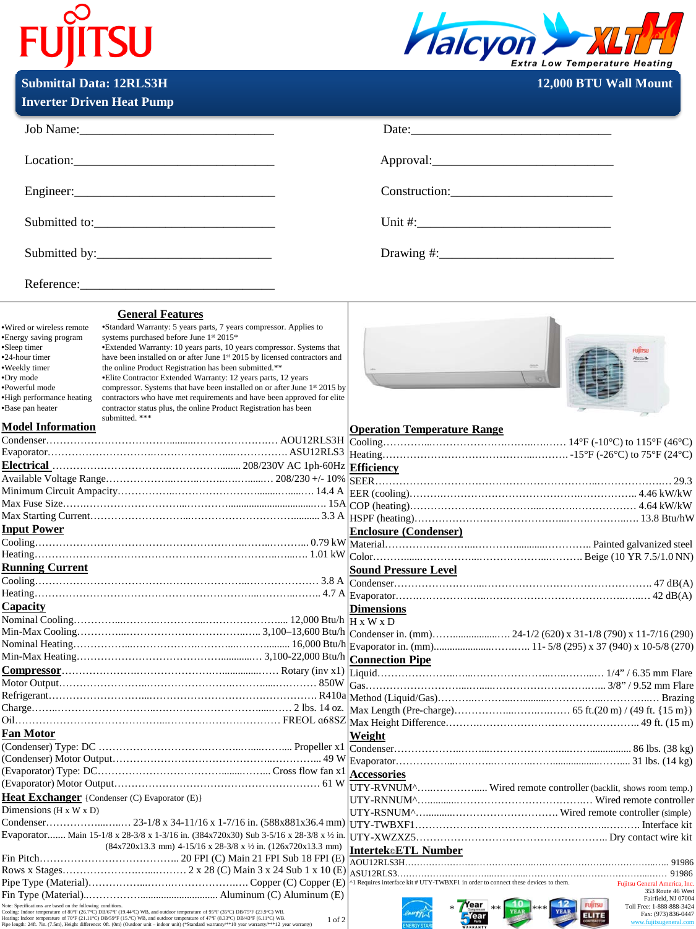## **FUJITSU**

 $\mathbf{Submitted Data:}$  **12RLS3H** 



|  | <b>12.000 BTU Wall Mount</b> |
|--|------------------------------|
|  |                              |
|  |                              |

| <b>Inverter Driven Heat Pump</b>                                                                                                                                                                                                                                                                                                                                                                                                                                                                                                                                                                                                                                                                                                                                                                                                                                                                        |                                                                                                                                                                                                                                                                                         |
|---------------------------------------------------------------------------------------------------------------------------------------------------------------------------------------------------------------------------------------------------------------------------------------------------------------------------------------------------------------------------------------------------------------------------------------------------------------------------------------------------------------------------------------------------------------------------------------------------------------------------------------------------------------------------------------------------------------------------------------------------------------------------------------------------------------------------------------------------------------------------------------------------------|-----------------------------------------------------------------------------------------------------------------------------------------------------------------------------------------------------------------------------------------------------------------------------------------|
|                                                                                                                                                                                                                                                                                                                                                                                                                                                                                                                                                                                                                                                                                                                                                                                                                                                                                                         | Date:                                                                                                                                                                                                                                                                                   |
| Location:                                                                                                                                                                                                                                                                                                                                                                                                                                                                                                                                                                                                                                                                                                                                                                                                                                                                                               |                                                                                                                                                                                                                                                                                         |
|                                                                                                                                                                                                                                                                                                                                                                                                                                                                                                                                                                                                                                                                                                                                                                                                                                                                                                         |                                                                                                                                                                                                                                                                                         |
|                                                                                                                                                                                                                                                                                                                                                                                                                                                                                                                                                                                                                                                                                                                                                                                                                                                                                                         |                                                                                                                                                                                                                                                                                         |
|                                                                                                                                                                                                                                                                                                                                                                                                                                                                                                                                                                                                                                                                                                                                                                                                                                                                                                         |                                                                                                                                                                                                                                                                                         |
|                                                                                                                                                                                                                                                                                                                                                                                                                                                                                                                                                                                                                                                                                                                                                                                                                                                                                                         |                                                                                                                                                                                                                                                                                         |
| <b>General Features</b><br>*Standard Warranty: 5 years parts, 7 years compressor. Applies to<br>·Wired or wireless remote<br>systems purchased before June 1st 2015*<br>•Energy saving program<br>*Extended Warranty: 10 years parts, 10 years compressor. Systems that<br>•Sleep timer<br>have been installed on or after June 1st 2015 by licensed contractors and<br>•24-hour timer<br>·Weekly timer<br>the online Product Registration has been submitted.**<br>•Dry mode<br>• Elite Contractor Extended Warranty: 12 years parts, 12 years<br>•Powerful mode<br>compressor. Systems that have been installed on or after June 1 <sup>st</sup> 2015 by<br>•High performance heating<br>contractors who have met requirements and have been approved for elite<br>•Base pan heater<br>contractor status plus, the online Product Registration has been<br>submitted. ***<br><b>Model Information</b> | <b>FURTSU</b><br>Happen 9<br><b>Operation Temperature Range</b>                                                                                                                                                                                                                         |
|                                                                                                                                                                                                                                                                                                                                                                                                                                                                                                                                                                                                                                                                                                                                                                                                                                                                                                         |                                                                                                                                                                                                                                                                                         |
| <b>Input Power</b><br><b>Running Current</b>                                                                                                                                                                                                                                                                                                                                                                                                                                                                                                                                                                                                                                                                                                                                                                                                                                                            | <b>Enclosure (Condenser)</b><br><b>Sound Pressure Level</b>                                                                                                                                                                                                                             |
| Capacity                                                                                                                                                                                                                                                                                                                                                                                                                                                                                                                                                                                                                                                                                                                                                                                                                                                                                                | <b>Dimensions</b>                                                                                                                                                                                                                                                                       |
|                                                                                                                                                                                                                                                                                                                                                                                                                                                                                                                                                                                                                                                                                                                                                                                                                                                                                                         |                                                                                                                                                                                                                                                                                         |
|                                                                                                                                                                                                                                                                                                                                                                                                                                                                                                                                                                                                                                                                                                                                                                                                                                                                                                         |                                                                                                                                                                                                                                                                                         |
| Fan Motor                                                                                                                                                                                                                                                                                                                                                                                                                                                                                                                                                                                                                                                                                                                                                                                                                                                                                               | Weight                                                                                                                                                                                                                                                                                  |
| <b>Heat Exchanger</b> {Condenser (C) Evaporator (E)}<br>Dimensions ( $H \times W \times D$ )                                                                                                                                                                                                                                                                                                                                                                                                                                                                                                                                                                                                                                                                                                                                                                                                            | <b>Accessories</b><br>UTY-RVNUM^ Wired remote controller (backlit, shows room temp.)                                                                                                                                                                                                    |
| Evaporator Main 15-1/8 x 28-3/8 x 1-3/16 in. (384x720x30) Sub 3-5/16 x 28-3/8 x 1/2 in.<br>$(84x720x13.3 \text{ mm})$ 4-15/16 x 28-3/8 x 1/2 in. (126x720x13.3 mm)                                                                                                                                                                                                                                                                                                                                                                                                                                                                                                                                                                                                                                                                                                                                      | Intertek©ETL Number                                                                                                                                                                                                                                                                     |
| Note: Specifications are based on the following conditions.<br>Note: Specineauons are nases on the totawing conditions.<br>Cooling: Indoor temperature of 80°F (26.7°C) DB/67°F (19.44°C) WB, and outdoor temperature of 95°F (35°C) DB/75°F (23.9°C) WB.<br>Heating: Indoor temperature of 70°F (2<br>1 of 2                                                                                                                                                                                                                                                                                                                                                                                                                                                                                                                                                                                           | <sup>1</sup> Requires interface kit # UTY-TWBXF1 in order to connect these devices to them.<br>Fujitsu General America, Inc<br>353 Route 46 Wes<br>Fairfield, NJ 07004<br><b>FUJITSU</b><br>Year<br>Toll Free: 1-888-888-3424<br>Fax: (973) 836-0447<br>ELITE<br>www.fujitsugeneral.con |